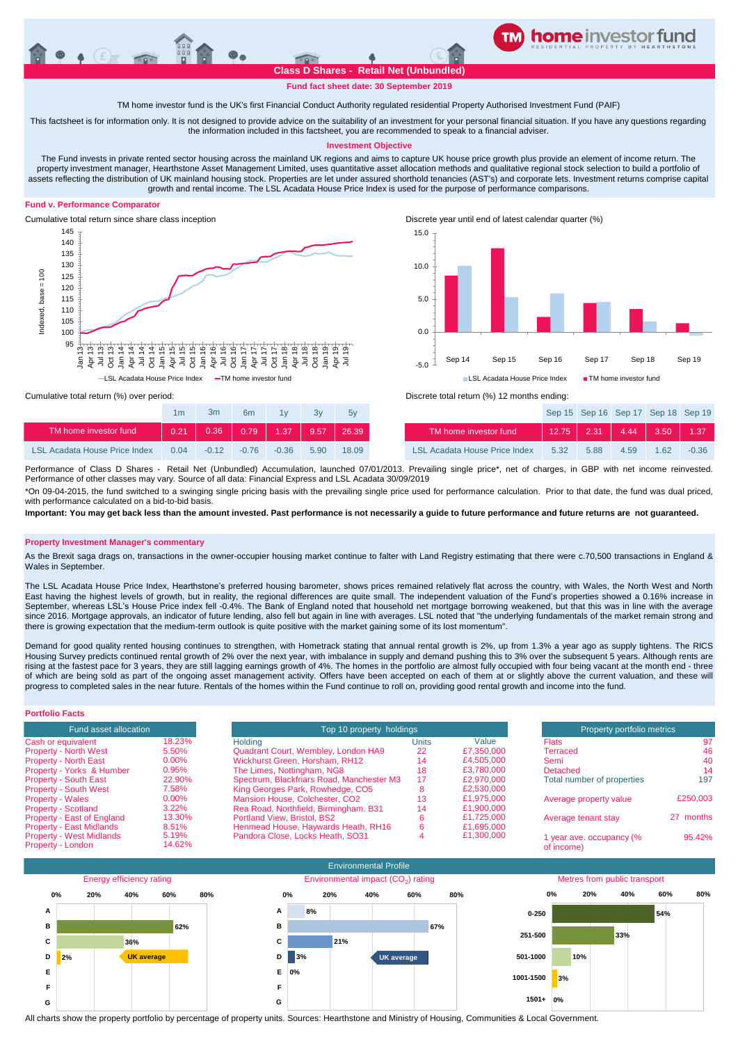

## **Fund fact sheet date: 30 September 2019**

TM home investor fund is the UK's first Financial Conduct Authority regulated residential Property Authorised Investment Fund (PAIF)

This factsheet is for information only. It is not designed to provide advice on the suitability of an investment for your personal financial situation. If you have any questions regarding the information included in this factsheet, you are recommended to speak to a financial adviser.

### **Investment Objective**

The Fund invests in private rented sector housing across the mainland UK regions and aims to capture UK house price growth plus provide an element of income return. The property investment manager, Hearthstone Asset Management Limited, uses quantitative asset allocation methods and qualitative regional stock selection to build a portfolio of assets reflecting the distribution of UK mainland housing stock. Properties are let under assured shorthold tenancies (AST's) and corporate lets. Investment returns comprise capital growth and rental income. The LSL Acadata House Price Index is used for the purpose of performance comparisons.

### **Fund v. Performance Comparator**





|                                      | 1m   | 3m      | 6 <sub>m</sub> | 1v          | 3v   | 5v    |                                      |
|--------------------------------------|------|---------|----------------|-------------|------|-------|--------------------------------------|
| TM home investor fund                | 0.21 |         | $0.36$ 0.79    | $1.37$ 9.57 |      | 26.39 | TM home investor fund                |
| <b>LSL Acadata House Price Index</b> | 0.04 | $-0.12$ | $-0.76$        | $-0.36$     | 5.90 | 18.09 | <b>LSL Acadata House Price Index</b> |

Cumulative total return (%) over period: Discrete total return (%) 12 months ending:

| 1 <sub>m</sub> | 3m      | 6 <sub>m</sub>                                                             | 1v      | Зv   | 5v           |                                      |      | Sep 15 Sep 16 Sep 17 Sep 18 Sep 19  |      |      |         |
|----------------|---------|----------------------------------------------------------------------------|---------|------|--------------|--------------------------------------|------|-------------------------------------|------|------|---------|
| 0.21           | 0.36    | $\begin{array}{ c c c c c c c c } \hline 0.79 & 1.37 \ \hline \end{array}$ |         |      | $9.57$ 26.39 | TM home investor fund                |      | $12.75$   2.31   4.44   3.50   1.37 |      |      |         |
| 0.04           | $-0.12$ | $-0.76$                                                                    | $-0.36$ | 5.90 | 18.09        | <b>LSL Acadata House Price Index</b> | 5.32 | 5.88                                | 4.59 | 1.62 | $-0.36$ |

Performance of Class D Shares - Retail Net (Unbundled) Accumulation, launched 07/01/2013. Prevailing single price\*, net of charges, in GBP with net income reinvested. Performance of other classes may vary. Source of all data: Financial Express and LSL Acadata 30/09/2019

\*On 09-04-2015, the fund switched to a swinging single pricing basis with the prevailing single price used for performance calculation. Prior to that date, the fund was dual priced, with performance calculated on a bid-to-bid basis

**Important: You may get back less than the amount invested. Past performance is not necessarily a guide to future performance and future returns are not guaranteed.** 

#### **Property Investment Manager's commentary**

As the Brexit saga drags on, transactions in the owner-occupier housing market continue to falter with Land Registry estimating that there were c.70,500 transactions in England & Wales in September.

The LSL Acadata House Price Index, Hearthstone's preferred housing barometer, shows prices remained relatively flat across the country, with Wales, the North West and North East having the highest levels of growth, but in reality, the regional differences are quite small. The independent valuation of the Fund's properties showed a 0.16% increase in September, whereas LSL's House Price index fell -0.4%. The Bank of England noted that household net mortgage borrowing weakened, but that this was in line with the average since 2016. Mortgage approvals, an indicator of future lending, also fell but again in line with averages. LSL noted that "the underlying fundamentals of the market remain strong and there is growing expectation that the medium-term outlook is quite positive with the market gaining some of its lost momentum".

Demand for good quality rented housing continues to strengthen, with Hometrack stating that annual rental growth is 2%, up from 1.3% a year ago as supply tightens. The RICS Housing Survey predicts continued rental growth of 2% over the next year, with imbalance in supply and demand pushing this to 3% over the subsequent 5 years. Although rents are rising at the fastest pace for 3 years, they are still lagging earnings growth of 4%. The homes in the portfolio are almost fully occupied with four being vacant at the month end - three of which are being sold as part of the ongoing asset management activity. Offers have been accepted on each of them at or slightly above the current valuation, and these will progress to completed sales in the near future. Rentals of the homes within the Fund continue to roll on, providing good rental growth and income into the fund.

| <b>Portfolio Facts</b>                               |                 |                                           |                            |            |                                        |           |
|------------------------------------------------------|-----------------|-------------------------------------------|----------------------------|------------|----------------------------------------|-----------|
| Fund asset allocation                                |                 | Top 10 property holdings                  | Property portfolio metrics |            |                                        |           |
| Cash or equivalent                                   | 18.23%          | Holding                                   | Units                      | Value      | <b>Flats</b>                           | 97        |
| <b>Property - North West</b>                         | 5.50%           | Quadrant Court, Wembley, London HA9       | 22                         | £7.350,000 | Terraced                               | 46        |
| <b>Property - North East</b>                         | $0.00\%$        | Wickhurst Green, Horsham, RH12            | 14                         | £4.505.000 | Semi                                   | 40        |
| Property - Yorks & Humber                            | 0.95%           | The Limes, Nottingham, NG8                | 18                         | £3.780,000 | Detached                               | 14        |
| <b>Property - South East</b>                         | 22.90%          | Spectrum, Blackfriars Road, Manchester M3 | 17                         | £2.970,000 | Total number of properties             | 197       |
| <b>Property - South West</b>                         | 7.58%           | King Georges Park, Rowhedge, CO5          |                            | £2,530,000 |                                        |           |
| <b>Property - Wales</b>                              | $0.00\%$        | Mansion House, Colchester, CO2            | 13                         | £1.975,000 | Average property value                 | £250,003  |
| <b>Property - Scotland</b>                           | 3.22%           | Rea Road, Northfield, Birmingham. B31     | 14                         | £1.900.000 |                                        |           |
| Property - East of England                           | 13.30%          | Portland View, Bristol, BS2               |                            | £1.725,000 | Average tenant stay                    | 27 months |
| <b>Property - East Midlands</b>                      | 8.51%           | Henmead House, Haywards Heath, RH16       |                            | £1,695,000 |                                        |           |
| <b>Property - West Midlands</b><br>Property - London | 5.19%<br>14.62% | Pandora Close, Locks Heath, SO31          |                            | £1,300,000 | 1 year ave. occupancy (%<br>of income) | 95.42%    |



All charts show the property portfolio by percentage of property units. Sources: Hearthstone and Ministry of Housing, Communities & Local Government.